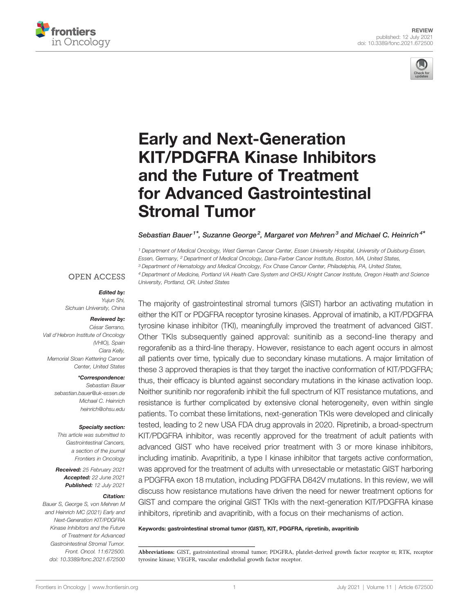



# [Early and Next-Generation](https://www.frontiersin.org/articles/10.3389/fonc.2021.672500/full) [KIT/PDGFRA Kinase Inhibitors](https://www.frontiersin.org/articles/10.3389/fonc.2021.672500/full) [and the Future of Treatment](https://www.frontiersin.org/articles/10.3389/fonc.2021.672500/full) [for Advanced Gastrointestinal](https://www.frontiersin.org/articles/10.3389/fonc.2021.672500/full) [Stromal Tumor](https://www.frontiersin.org/articles/10.3389/fonc.2021.672500/full)

#### Sebastian Bauer<sup>1\*</sup>, Suzanne George<sup>2</sup>, Margaret von Mehren<sup>3</sup> and Michael C. Heinrich<sup>4\*</sup>

<sup>1</sup> Department of Medical Oncology, West German Cancer Center, Essen University Hospital, University of Duisburg-Essen, Essen, Germany, <sup>2</sup> Department of Medical Oncology, Dana-Farber Cancer Institute, Boston, MA, United States, <sup>3</sup> Department of Hematology and Medical Oncology, Fox Chase Cancer Center, Philadelphia, PA, United States, <sup>4</sup> Department of Medicine, Portland VA Health Care System and OHSU Knight Cancer Institute, Oregon Health and Science University, Portland, OR, United States

#### **OPEN ACCESS**

#### Edited by:

Yujun Shi, Sichuan University, China

#### Reviewed by:

César Serrano, Vall d'Hebron Institute of Oncology (VHIO), Spain Ciara Kelly, Memorial Sloan Kettering Cancer Center, United States

#### \*Correspondence:

Sebastian Bauer [sebastian.bauer@uk-essen.de](mailto:sebastian.bauer@uk-essen.de) Michael C. Heinrich [heinrich@ohsu.edu](mailto:heinrich@ohsu.edu)

#### Specialty section:

This article was submitted to Gastrointestinal Cancers, a section of the journal Frontiers in Oncology

Received: 25 February 2021 Accepted: 22 June 2021 Published: 12 July 2021

#### Citation:

Bauer S, George S, von Mehren M and Heinrich MC (2021) Early and Next-Generation KIT/PDGFRA Kinase Inhibitors and the Future of Treatment for Advanced Gastrointestinal Stromal Tumor. Front. Oncol. 11:672500. [doi: 10.3389/fonc.2021.672500](https://doi.org/10.3389/fonc.2021.672500)

The majority of gastrointestinal stromal tumors (GIST) harbor an activating mutation in either the KIT or PDGFRA receptor tyrosine kinases. Approval of imatinib, a KIT/PDGFRA tyrosine kinase inhibitor (TKI), meaningfully improved the treatment of advanced GIST. Other TKIs subsequently gained approval: sunitinib as a second-line therapy and regorafenib as a third-line therapy. However, resistance to each agent occurs in almost all patients over time, typically due to secondary kinase mutations. A major limitation of these 3 approved therapies is that they target the inactive conformation of KIT/PDGFRA; thus, their efficacy is blunted against secondary mutations in the kinase activation loop. Neither sunitinib nor regorafenib inhibit the full spectrum of KIT resistance mutations, and resistance is further complicated by extensive clonal heterogeneity, even within single patients. To combat these limitations, next-generation TKIs were developed and clinically tested, leading to 2 new USA FDA drug approvals in 2020. Ripretinib, a broad-spectrum KIT/PDGFRA inhibitor, was recently approved for the treatment of adult patients with advanced GIST who have received prior treatment with 3 or more kinase inhibitors, including imatinib. Avapritinib, a type I kinase inhibitor that targets active conformation, was approved for the treatment of adults with unresectable or metastatic GIST harboring a PDGFRA exon 18 mutation, including PDGFRA D842V mutations. In this review, we will discuss how resistance mutations have driven the need for newer treatment options for GIST and compare the original GIST TKIs with the next-generation KIT/PDGFRA kinase inhibitors, ripretinib and avapritinib, with a focus on their mechanisms of action.

#### Keywords: gastrointestinal stromal tumor (GIST), KIT, PDGFRA, ripretinib, avapritinib

Abbreviations: GIST, gastrointestinal stromal tumor; PDGFRA, platelet-derived growth factor receptor  $\alpha$ ; RTK, receptor tyrosine kinase; VEGFR, vascular endothelial growth factor receptor.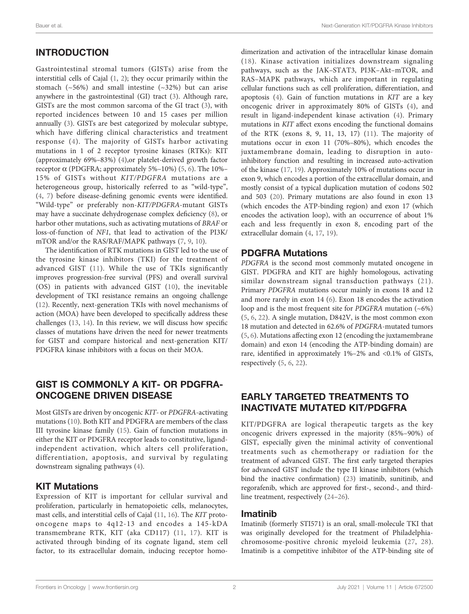# INTRODUCTION

Gastrointestinal stromal tumors (GISTs) arise from the interstitial cells of Cajal ([1](#page-8-0), [2](#page-8-0)); they occur primarily within the stomach  $(\sim 56\%)$  and small intestine  $(\sim 32\%)$  but can arise anywhere in the gastrointestinal (GI) tract ([3](#page-8-0)). Although rare, GISTs are the most common sarcoma of the GI tract [\(3\)](#page-8-0), with reported incidences between 10 and 15 cases per million annually ([3](#page-8-0)). GISTs are best categorized by molecular subtype, which have differing clinical characteristics and treatment response ([4](#page-8-0)). The majority of GISTs harbor activating mutations in 1 of 2 receptor tyrosine kinases (RTKs): KIT (approximately 69%–83%) ([4](#page-8-0)),or platelet-derived growth factor receptor  $\alpha$  (PDGFRA; approximately [5](#page-8-0)%–10%) (5, [6](#page-8-0)). The 10%– 15% of GISTs without KIT/PDGFRA mutations are a heterogeneous group, historically referred to as "wild-type", ([4](#page-8-0), [7](#page-8-0)) before disease-defining genomic events were identified. "Wild-type" or preferably non-KIT/PDGFRA-mutant GISTs may have a succinate dehydrogenase complex deficiency [\(8\)](#page-8-0), or harbor other mutations, such as activating mutations of BRAF or loss-of-function of NF1, that lead to activation of the PI3K/ mTOR and/or the RAS/RAF/MAPK pathways [\(7,](#page-8-0) [9](#page-8-0), [10](#page-8-0)).

The identification of RTK mutations in GIST led to the use of the tyrosine kinase inhibitors (TKI) for the treatment of advanced GIST ([11](#page-8-0)). While the use of TKIs significantly improves progression-free survival (PFS) and overall survival (OS) in patients with advanced GIST ([10\)](#page-8-0), the inevitable development of TKI resistance remains an ongoing challenge ([12\)](#page-8-0). Recently, next-generation TKIs with novel mechanisms of action (MOA) have been developed to specifically address these challenges ([13,](#page-8-0) [14](#page-8-0)). In this review, we will discuss how specific classes of mutations have driven the need for newer treatments for GIST and compare historical and next-generation KIT/ PDGFRA kinase inhibitors with a focus on their MOA.

# GIST IS COMMONLY A KIT- OR PDGFRA-ONCOGENE DRIVEN DISEASE

Most GISTs are driven by oncogenic KIT- or PDGFRA-activating mutations [\(10](#page-8-0)). Both KIT and PDGFRA are members of the class III tyrosine kinase family ([15\)](#page-8-0). Gain of function mutations in either the KIT or PDGFRA receptor leads to constitutive, ligandindependent activation, which alters cell proliferation, differentiation, apoptosis, and survival by regulating downstream signaling pathways [\(4](#page-8-0)).

## KIT Mutations

Expression of KIT is important for cellular survival and proliferation, particularly in hematopoietic cells, melanocytes, mast cells, and interstitial cells of Cajal [\(11](#page-8-0), [16](#page-8-0)). The KIT protooncogene maps to 4q12-13 and encodes a 145-kDA transmembrane RTK, KIT (aka CD117) ([11,](#page-8-0) [17\)](#page-8-0). KIT is activated through binding of its cognate ligand, stem cell factor, to its extracellular domain, inducing receptor homodimerization and activation of the intracellular kinase domain ([18\)](#page-8-0). Kinase activation initializes downstream signaling pathways, such as the JAK–STAT3, PI3K–Akt–mTOR, and RAS–MAPK pathways, which are important in regulating cellular functions such as cell proliferation, differentiation, and apoptosis ([4\)](#page-8-0). Gain of function mutations in KIT are a key oncogenic driver in approximately 80% of GISTs ([4\)](#page-8-0), and result in ligand-independent kinase activation ([4\)](#page-8-0). Primary mutations in KIT affect exons encoding the functional domains of the RTK (exons 8, 9, 11, 13, 17) [\(11\)](#page-8-0). The majority of mutations occur in exon 11 (70%–80%), which encodes the juxtamembrane domain, leading to disruption in autoinhibitory function and resulting in increased auto-activation of the kinase ([17,](#page-8-0) [19](#page-8-0)). Approximately 10% of mutations occur in exon 9, which encodes a portion of the extracellular domain, and mostly consist of a typical duplication mutation of codons 502 and 503 [\(20](#page-8-0)). Primary mutations are also found in exon 13 (which encodes the ATP-binding region) and exon 17 (which encodes the activation loop), with an occurrence of about 1% each and less frequently in exon 8, encoding part of the extracellular domain ([4](#page-8-0), [17](#page-8-0), [19](#page-8-0)).

## PDGFRA Mutations

PDGFRA is the second most commonly mutated oncogene in GIST. PDGFRA and KIT are highly homologous, activating similar downstream signal transduction pathways ([21](#page-8-0)). Primary PDGFRA mutations occur mainly in exons 18 and 12 and more rarely in exon 14 ([6](#page-8-0)). Exon 18 encodes the activation loop and is the most frequent site for *PDGFRA* mutation  $(-6%)$ [\(5,](#page-8-0) [6](#page-8-0), [22](#page-8-0)). A single mutation, D842V, is the most common exon 18 mutation and detected in 62.6% of PDGFRA-mutated tumors [\(5,](#page-8-0) [6\)](#page-8-0). Mutations affecting exon 12 (encoding the juxtamembrane domain) and exon 14 (encoding the ATP-binding domain) are rare, identified in approximately 1%–2% and <0.1% of GISTs, respectively [\(5,](#page-8-0) [6](#page-8-0), [22](#page-8-0)).

# EARLY TARGETED TREATMENTS TO INACTIVATE MUTATED KIT/PDGFRA

KIT/PDGFRA are logical therapeutic targets as the key oncogenic drivers expressed in the majority (85%–90%) of GIST, especially given the minimal activity of conventional treatments such as chemotherapy or radiation for the treatment of advanced GIST. The first early targeted therapies for advanced GIST include the type II kinase inhibitors (which bind the inactive confirmation) [\(23](#page-8-0)) imatinib, sunitinib, and regorafenib, which are approved for first-, second-, and thirdline treatment, respectively [\(24](#page-8-0)–[26](#page-8-0)).

## Imatinib

Imatinib (formerly STI571) is an oral, small-molecule TKI that was originally developed for the treatment of Philadelphiachromosome-positive chronic myeloid leukemia [\(27](#page-8-0), [28](#page-8-0)). Imatinib is a competitive inhibitor of the ATP-binding site of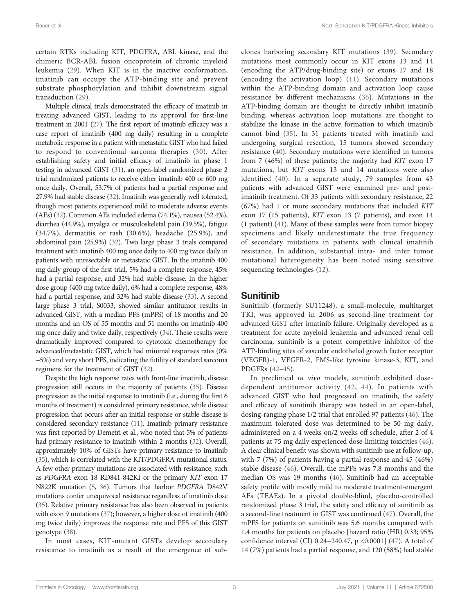certain RTKs including KIT, PDGFRA, ABL kinase, and the chimeric BCR-ABL fusion oncoprotein of chronic myeloid leukemia ([29](#page-8-0)). When KIT is in the inactive conformation, imatinib can occupy the ATP-binding site and prevent substrate phosphorylation and inhibit downstream signal transduction ([29\)](#page-8-0).

Multiple clinical trials demonstrated the efficacy of imatinib in treating advanced GIST, leading to its approval for first-line treatment in 2001 [\(27\)](#page-8-0). The first report of imatinib efficacy was a case report of imatinib (400 mg daily) resulting in a complete metabolic response in a patient with metastatic GIST who had failed to respond to conventional sarcoma therapies [\(30\)](#page-8-0). After establishing safety and initial efficacy of imatinib in phase 1 testing in advanced GIST [\(31\)](#page-8-0), an open-label randomized phase 2 trial randomized patients to receive either imatinib 400 or 600 mg once daily. Overall, 53.7% of patients had a partial response and 27.9% had stable disease ([32](#page-8-0)). Imatinib was generally well tolerated, though most patients experienced mild to moderate adverse events (AEs) [\(32](#page-8-0)). Common AEs included edema (74.1%), nausea (52.4%), diarrhea (44.9%), myalgia or musculoskeletal pain (39.5%), fatigue (34.7%), dermatitis or rash (30.6%), headache (25.9%), and abdominal pain (25.9%) ([32](#page-8-0)). Two large phase 3 trials compared treatment with imatinib 400 mg once daily to 400 mg twice daily in patients with unresectable or metastatic GIST. In the imatinib 400 mg daily group of the first trial, 5% had a complete response, 45% had a partial response, and 32% had stable disease. In the higher dose group (400 mg twice daily), 6% had a complete response, 48% had a partial response, and 32% had stable disease [\(33\)](#page-8-0). A second large phase 3 trial, S0033, showed similar antitumor results in advanced GIST, with a median PFS (mPFS) of 18 months and 20 months and an OS of 55 months and 51 months on imatinib 400 mg once daily and twice daily, respectively [\(34\)](#page-8-0). These results were dramatically improved compared to cytotoxic chemotherapy for advanced/metastatic GIST, which had minimal responses rates (0% −5%) and very short PFS, indicating the futility of standard sarcoma regimens for the treatment of GIST ([32\)](#page-8-0).

Despite the high response rates with front-line imatinib, disease progression still occurs in the majority of patients [\(35\)](#page-8-0). Disease progression as the initial response to imatinib (i.e., during the first 6 months of treatment) is considered primary resistance, while disease progression that occurs after an initial response or stable disease is considered secondary resistance [\(11](#page-8-0)). Imatinib primary resistance was first reported by Demetri et al., who noted that 5% of patients had primary resistance to imatinib within 2 months [\(32\)](#page-8-0). Overall, approximately 10% of GISTs have primary resistance to imatinib [\(35](#page-8-0)), which is correlated with the KIT/PDGFRA mutational status. A few other primary mutations are associated with resistance, such as PDGFRA exon 18 RD841-842KI or the primary KIT exon 17 N822K mutation [\(5,](#page-8-0) [36](#page-8-0)). Tumors that harbor PDGFRA D842V mutations confer unequivocal resistance regardless of imatinib dose [\(35](#page-8-0)). Relative primary resistance has also been observed in patients with exon 9 mutations [\(37\)](#page-9-0); however, a higher dose of imatinib (400 mg twice daily) improves the response rate and PFS of this GIST genotype [\(38\)](#page-9-0).

In most cases, KIT-mutant GISTs develop secondary resistance to imatinib as a result of the emergence of subclones harboring secondary KIT mutations [\(39\)](#page-9-0). Secondary mutations most commonly occur in KIT exons 13 and 14 (encoding the ATP/drug-binding site) or exons 17 and 18 (encoding the activation loop) ([11\)](#page-8-0). Secondary mutations within the ATP-binding domain and activation loop cause resistance by different mechanisms [\(36\)](#page-8-0). Mutations in the ATP-binding domain are thought to directly inhibit imatinib binding, whereas activation loop mutations are thought to stabilize the kinase in the active formation to which imatinib cannot bind ([35](#page-8-0)). In 31 patients treated with imatinib and undergoing surgical resection, 15 tumors showed secondary resistance ([40\)](#page-9-0). Secondary mutations were identified in tumors from 7 (46%) of these patients; the majority had KIT exon 17 mutations, but KIT exons 13 and 14 mutations were also identified ([40\)](#page-9-0). In a separate study, 79 samples from 43 patients with advanced GIST were examined pre- and postimatinib treatment. Of 33 patients with secondary resistance, 22 (67%) had 1 or more secondary mutations that included KIT exon 17 (15 patients), KIT exon 13 (7 patients), and exon 14 (1 patient) ([41\)](#page-9-0). Many of these samples were from tumor biopsy specimens and likely underestimate the true frequency of secondary mutations in patients with clinical imatinib resistance. In addition, substantial intra- and inter tumor mutational heterogeneity has been noted using sensitive sequencing technologies [\(12\)](#page-8-0).

## Sunitinib

Sunitinib (formerly SU11248), a small-molecule, multitarget TKI, was approved in 2006 as second-line treatment for advanced GIST after imatinib failure. Originally developed as a treatment for acute myeloid leukemia and advanced renal cell carcinoma, sunitinib is a potent competitive inhibitor of the ATP-binding sites of vascular endothelial growth factor receptor (VEGFR)-1, VEGFR-2, FMS-like tyrosine kinase-3, KIT, and PDGFRs [\(42](#page-9-0)–[45\)](#page-9-0).

In preclinical in vivo models, sunitinib exhibited dosedependent antitumor activity ([42,](#page-9-0) [44](#page-9-0)). In patients with advanced GIST who had progressed on imatinib, the safety and efficacy of sunitinib therapy was tested in an open-label, dosing-ranging phase 1/2 trial that enrolled 97 patients [\(46\)](#page-9-0). The maximum tolerated dose was determined to be 50 mg daily, administered on a 4 weeks on/2 weeks off schedule, after 2 of 4 patients at 75 mg daily experienced dose-limiting toxicities [\(46\)](#page-9-0). A clear clinical benefit was shown with sunitinib use at follow-up, with 7 (7%) of patients having a partial response and 45 (46%) stable disease [\(46](#page-9-0)). Overall, the mPFS was 7.8 months and the median OS was 19 months ([46\)](#page-9-0). Sunitinib had an acceptable safety profile with mostly mild to moderate treatment-emergent AEs (TEAEs). In a pivotal double-blind, placebo-controlled randomized phase 3 trial, the safety and efficacy of sunitinib as a second-line treatment in GIST was confirmed ([47\)](#page-9-0). Overall, the mPFS for patients on sunitinib was 5.6 months compared with 1.4 months for patients on placebo [hazard ratio (HR) 0.33; 95% confidence interval (CI) 0.24−240.47, p <0.0001] ([47\)](#page-9-0). A total of 14 (7%) patients had a partial response, and 120 (58%) had stable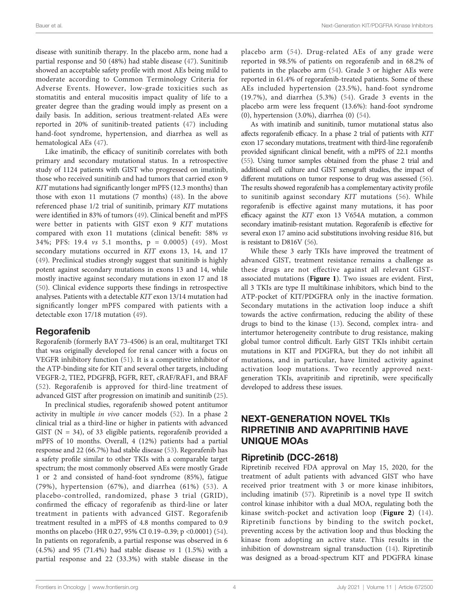disease with sunitinib therapy. In the placebo arm, none had a partial response and 50 (48%) had stable disease [\(47](#page-9-0)). Sunitinib showed an acceptable safety profile with most AEs being mild to moderate according to Common Terminology Criteria for Adverse Events. However, low-grade toxicities such as stomatitis and enteral mucositis impact quality of life to a greater degree than the grading would imply as present on a daily basis. In addition, serious treatment-related AEs were reported in 20% of sunitinib-treated patients ([47\)](#page-9-0) including hand-foot syndrome, hypertension, and diarrhea as well as hematological AEs ([47\)](#page-9-0).

Like imatinib, the efficacy of sunitinib correlates with both primary and secondary mutational status. In a retrospective study of 1124 patients with GIST who progressed on imatinib, those who received sunitinib and had tumors that carried exon 9 KIT mutations had significantly longer mPFS (12.3 months) than those with exon 11 mutations (7 months) [\(48](#page-9-0)). In the above referenced phase 1/2 trial of sunitinib, primary KIT mutations were identified in 83% of tumors [\(49](#page-9-0)). Clinical benefit and mPFS were better in patients with GIST exon 9 KIT mutations compared with exon 11 mutations (clinical benefit: 58% vs 34%; PFS: 19.4 vs 5.1 months, p = 0.0005) ([49](#page-9-0)). Most secondary mutations occurred in KIT exons 13, 14, and 17 ([49\)](#page-9-0). Preclinical studies strongly suggest that sunitinib is highly potent against secondary mutations in exons 13 and 14, while mostly inactive against secondary mutations in exon 17 and 18 ([50\)](#page-9-0). Clinical evidence supports these findings in retrospective analyses. Patients with a detectable KIT exon 13/14 mutation had significantly longer mPFS compared with patients with a detectable exon 17/18 mutation [\(49](#page-9-0)).

## Regorafenib

Regorafenib (formerly BAY 73-4506) is an oral, multitarget TKI that was originally developed for renal cancer with a focus on VEGFR inhibitory function [\(51](#page-9-0)). It is a competitive inhibitor of the ATP-binding site for KIT and several other targets, including VEGFR-2, TIE2, PDGFRb, FGFR, RET, cRAF/RAF1, and BRAF ([52\)](#page-9-0). Regorafenib is approved for third-line treatment of advanced GIST after progression on imatinib and sunitinib ([25\)](#page-8-0).

In preclinical studies, regorafenib showed potent antitumor activity in multiple in vivo cancer models [\(52\)](#page-9-0). In a phase 2 clinical trial as a third-line or higher in patients with advanced GIST ( $N = 34$ ), of 33 eligible patients, regorafenib provided a mPFS of 10 months. Overall, 4 (12%) patients had a partial response and 22 (66.7%) had stable disease [\(53](#page-9-0)). Regorafenib has a safety profile similar to other TKIs with a comparable target spectrum; the most commonly observed AEs were mostly Grade 1 or 2 and consisted of hand-foot syndrome (85%), fatigue (79%), hypertension (67%), and diarrhea (61%) ([53](#page-9-0)). A placebo-controlled, randomized, phase 3 trial (GRID), confirmed the efficacy of regorafenib as third-line or later treatment in patients with advanced GIST. Regorafenib treatment resulted in a mPFS of 4.8 months compared to 0.9 months on placebo (HR 0.27, 95% CI 0.19–0.39; p <0.0001) ([54\)](#page-9-0). In patients on regorafenib, a partial response was observed in 6 (4.5%) and 95 (71.4%) had stable disease vs 1 (1.5%) with a partial response and 22 (33.3%) with stable disease in the

placebo arm ([54](#page-9-0)). Drug-related AEs of any grade were reported in 98.5% of patients on regorafenib and in 68.2% of patients in the placebo arm ([54\)](#page-9-0). Grade 3 or higher AEs were reported in 61.4% of regorafenib-treated patients. Some of these AEs included hypertension (23.5%), hand-foot syndrome (19.7%), and diarrhea (5.3%) ([54\)](#page-9-0). Grade 3 events in the placebo arm were less frequent (13.6%): hand-foot syndrome (0), hypertension (3.0%), diarrhea (0) [\(54](#page-9-0)).

As with imatinib and sunitinib, tumor mutational status also affects regorafenib efficacy. In a phase 2 trial of patients with KIT exon 17 secondary mutations, treatment with third-line regorafenib provided significant clinical benefit, with a mPFS of 22.1 months [\(55\)](#page-9-0). Using tumor samples obtained from the phase 2 trial and additional cell culture and GIST xenograft studies, the impact of different mutations on tumor response to drug was assessed [\(56\)](#page-9-0). The results showed regorafenib has a complementary activity profile to sunitinib against secondary KIT mutations ([56](#page-9-0)). While regorafenib is effective against many mutations, it has poor efficacy against the KIT exon 13 V654A mutation, a common secondary imatinib-resistant mutation. Regorafenib is effective for several exon 17 amino acid substitutions involving residue 816, but is resistant to D816V ([56](#page-9-0)).

While these 3 early TKIs have improved the treatment of advanced GIST, treatment resistance remains a challenge as these drugs are not effective against all relevant GISTassociated mutations ([Figure 1](#page-4-0)). Two issues are evident. First, all 3 TKIs are type II multikinase inhibitors, which bind to the ATP-pocket of KIT/PDGFRA only in the inactive formation. Secondary mutations in the activation loop induce a shift towards the active confirmation, reducing the ability of these drugs to bind to the kinase ([13\)](#page-8-0). Second, complex intra- and intertumor heterogeneity contribute to drug resistance, making global tumor control difficult. Early GIST TKIs inhibit certain mutations in KIT and PDGFRA, but they do not inhibit all mutations, and in particular, have limited activity against activation loop mutations. Two recently approved nextgeneration TKIs, avapritinib and ripretinib, were specifically developed to address these issues.

# NEXT-GENERATION NOVEL TKIs RIPRETINIB AND AVAPRITINIB HAVE UNIQUE MOAs

## Ripretinib (DCC-2618)

Ripretinib received FDA approval on May 15, 2020, for the treatment of adult patients with advanced GIST who have received prior treatment with 3 or more kinase inhibitors, including imatinib ([57\)](#page-9-0). Ripretinib is a novel type II switch control kinase inhibitor with a dual MOA, regulating both the kinase switch-pocket and activation loop ([Figure 2](#page-4-0)) ([14](#page-8-0)). Ripretinib functions by binding to the switch pocket, preventing access by the activation loop and thus blocking the kinase from adopting an active state. This results in the inhibition of downstream signal transduction ([14\)](#page-8-0). Ripretinib was designed as a broad-spectrum KIT and PDGFRA kinase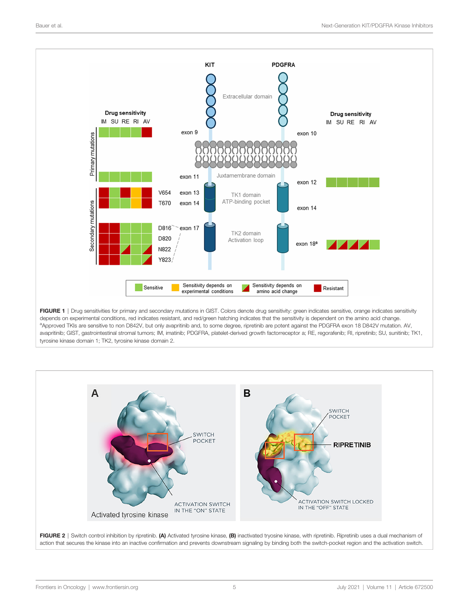<span id="page-4-0"></span>

FIGURE 1 | Drug sensitivities for primary and secondary mutations in GIST. Colors denote drug sensitivity: green indicates sensitive, orange indicates sensitivity depends on experimental conditions, red indicates resistant, and red/green hatching indicates that the sensitivity is dependent on the amino acid change. aApproved TKIs are sensitive to non D842V, but only avapritinib and, to some degree, ripretinib are potent against the PDGFRA exon 18 D842V mutation. AV, avapritinib; GIST, gastrointestinal stromal tumors; IM, imatinib; PDGFRA, platelet-derived growth factorreceptor a; RE, regorafenib; RI, ripretinib; SU, sunitinib; TK1, tyrosine kinase domain 1; TK2, tyrosine kinase domain 2.



FIGURE 2 | Switch control inhibition by ripretinib. (A) Activated tyrosine kinase, (B) inactivated tryosine kinase, with ripretinib. Ripretinib uses a dual mechanism of action that secures the kinase into an inactive confirmation and prevents downstream signaling by binding both the switch-pocket region and the activation switch.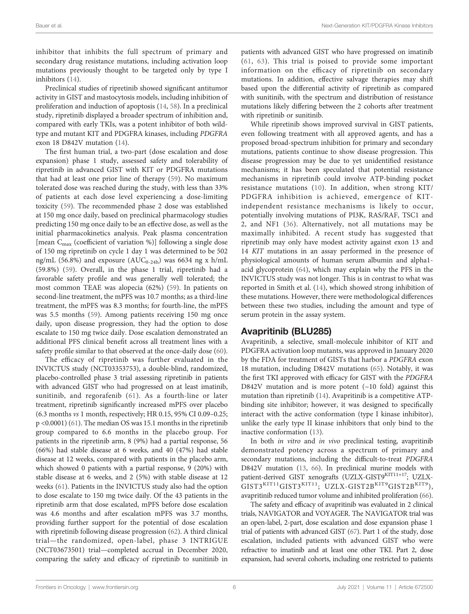inhibitor that inhibits the full spectrum of primary and secondary drug resistance mutations, including activation loop mutations previously thought to be targeted only by type I inhibitors [\(14\)](#page-8-0).

Preclinical studies of ripretinib showed significant antitumor activity in GIST and mastocytosis models, including inhibition of proliferation and induction of apoptosis [\(14](#page-8-0), [58\)](#page-9-0). In a preclinical study, ripretinib displayed a broader spectrum of inhibition and, compared with early TKIs, was a potent inhibitor of both wildtype and mutant KIT and PDGFRA kinases, including PDGFRA exon 18 D842V mutation ([14\)](#page-8-0).

The first human trial, a two-part (dose escalation and dose expansion) phase 1 study, assessed safety and tolerability of ripretinib in advanced GIST with KIT or PDGFRA mutations that had at least one prior line of therapy ([59\)](#page-9-0). No maximum tolerated dose was reached during the study, with less than 33% of patients at each dose level experiencing a dose-limiting toxicity ([59\)](#page-9-0). The recommended phase 2 dose was established at 150 mg once daily, based on preclinical pharmacology studies predicting 150 mg once daily to be an effective dose, as well as the initial pharmacokinetics analysis. Peak plasma concentration [mean  $C_{\text{max}}$  (coefficient of variation %)] following a single dose of 150 mg ripretinib on cycle 1 day 1 was determined to be 502 ng/mL (56.8%) and exposure ( $AUC_{0-24h}$ ) was 6634 ng x h/mL (59.8%) [\(59](#page-9-0)). Overall, in the phase 1 trial, ripretinib had a favorable safety profile and was generally well tolerated; the most common TEAE was alopecia (62%) [\(59](#page-9-0)). In patients on second-line treatment, the mPFS was 10.7 months; as a third-line treatment, the mPFS was 8.3 months; for fourth-line, the mPFS was 5.5 months ([59\)](#page-9-0). Among patients receiving 150 mg once daily, upon disease progression, they had the option to dose escalate to 150 mg twice daily. Dose escalation demonstrated an additional PFS clinical benefit across all treatment lines with a safety profile similar to that observed at the once-daily dose ([60\)](#page-9-0).

The efficacy of ripretinib was further evaluated in the INVICTUS study (NCT03353753), a double-blind, randomized, placebo-controlled phase 3 trial assessing ripretinib in patients with advanced GIST who had progressed on at least imatinib, sunitinib, and regorafenib ([61\)](#page-9-0). As a fourth-line or later treatment, ripretinib significantly increased mPFS over placebo (6.3 months vs 1 month, respectively; HR 0.15, 95% CI 0.09–0.25; p <0.0001) [\(61](#page-9-0)). The median OS was 15.1 months in the ripretinib group compared to 6.6 months in the placebo group. For patients in the ripretinib arm, 8 (9%) had a partial response, 56 (66%) had stable disease at 6 weeks, and 40 (47%) had stable disease at 12 weeks, compared with patients in the placebo arm, which showed 0 patients with a partial response, 9 (20%) with stable disease at 6 weeks, and 2 (5%) with stable disease at 12 weeks [\(61](#page-9-0)). Patients in the INVICTUS study also had the option to dose escalate to 150 mg twice daily. Of the 43 patients in the ripretinib arm that dose escalated, mPFS before dose escalation was 4.6 months and after escalation mPFS was 3.7 months, providing further support for the potential of dose escalation with ripretinib following disease progression ([62\)](#page-9-0). A third clinical trial—the randomized, open-label, phase 3 INTRIGUE (NCT03673501) trial—completed accrual in December 2020, comparing the safety and efficacy of ripretinib to sunitinib in

patients with advanced GIST who have progressed on imatinib ([61](#page-9-0), [63](#page-9-0)). This trial is poised to provide some important information on the efficacy of ripretinib on secondary mutations. In addition, effective salvage therapies may shift based upon the differential activity of ripretinib as compared with sunitinib, with the spectrum and distribution of resistance mutations likely differing between the 2 cohorts after treatment with ripretinib or sunitinib.

While ripretinib shows improved survival in GIST patients, even following treatment with all approved agents, and has a proposed broad-spectrum inhibition for primary and secondary mutations, patients continue to show disease progression. This disease progression may be due to yet unidentified resistance mechanisms; it has been speculated that potential resistance mechanisms in ripretinib could involve ATP-binding pocket resistance mutations ([10\)](#page-8-0). In addition, when strong KIT/ PDGFRA inhibition is achieved, emergence of KITindependent resistance mechanisms is likely to occur, potentially involving mutations of PI3K, RAS/RAF, TSC1 and 2, and NF1 [\(36\)](#page-8-0). Alternatively, not all mutations may be maximally inhibited. A recent study has suggested that ripretinib may only have modest activity against exon 13 and 14 KIT mutations in an assay performed in the presence of physiological amounts of human serum albumin and alpha1 acid glycoprotein [\(64](#page-9-0)), which may explain why the PFS in the INVICTUS study was not longer. This is in contrast to what was reported in Smith et al. [\(14](#page-8-0)), which showed strong inhibition of these mutations. However, there were methodological differences between these two studies, including the amount and type of serum protein in the assay system.

## Avapritinib (BLU285)

Avapritinib, a selective, small-molecule inhibitor of KIT and PDGFRA activation loop mutants, was approved in January 2020 by the FDA for treatment of GISTs that harbor a PDGFRA exon 18 mutation, including D842V mutations ([65\)](#page-9-0). Notably, it was the first TKI approved with efficacy for GIST with the PDGFRA D842V mutation and is more potent  $(\sim 10 \text{ fold})$  against this mutation than ripretinib ([14\)](#page-8-0). Avapritinib is a competitive ATPbinding site inhibitor; however, it was designed to specifically interact with the active conformation (type I kinase inhibitor), unlike the early type II kinase inhibitors that only bind to the inactive conformation [\(13\)](#page-8-0).

In both *in vitro* and *in vivo* preclinical testing, avapritinib demonstrated potency across a spectrum of primary and secondary mutations, including the difficult-to-treat PDGFRA D842V mutation ([13,](#page-8-0) [66](#page-9-0)). In preclinical murine models with patient-derived GIST xenografts (UZLX-GIST9KIT11+17; UZLX- $GIST3^{KIT11}GIST3^{KIT11}$ ; UZLX-GIST2B $^{KIT9}GIST2B^{KIT9}$ ), avapritinib reduced tumor volume and inhibited proliferation [\(66\)](#page-9-0).

The safety and efficacy of avapritinib was evaluated in 2 clinical trials, NAVIGATOR and VOYAGER. The NAVIGATOR trial was an open-label, 2-part, dose escalation and dose expansion phase 1 trial of patients with advanced GIST [\(67](#page-9-0)). Part 1 of the study, dose escalation, included patients with advanced GIST who were refractive to imatinib and at least one other TKI. Part 2, dose expansion, had several cohorts, including one restricted to patients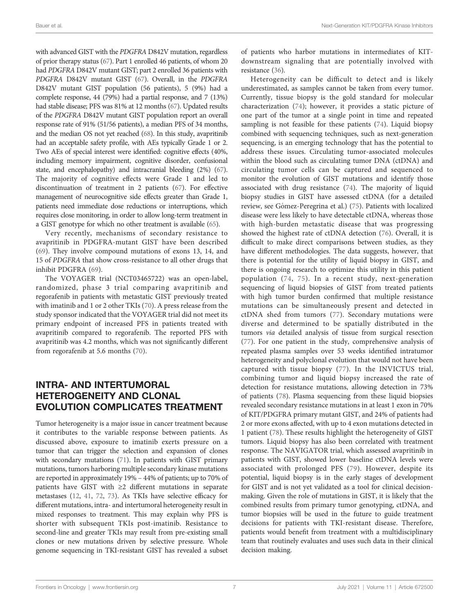with advanced GIST with the PDGFRA D842V mutation, regardless of prior therapy status ([67](#page-9-0)). Part 1 enrolled 46 patients, of whom 20 had PDGFRA D842V mutant GIST; part 2 enrolled 36 patients with PDGFRA D842V mutant GIST ([67](#page-9-0)). Overall, in the PDGFRA D842V mutant GIST population (56 patients), 5 (9%) had a complete response, 44 (79%) had a partial response, and 7 (13%) had stable disease; PFS was 81% at 12 months [\(67\)](#page-9-0). Updated results of the PDGFRA D842V mutant GIST population report an overall response rate of 91% (51/56 patients), a median PFS of 34 months, and the median OS not yet reached [\(68](#page-9-0)). In this study, avapritinib had an acceptable safety profile, with AEs typically Grade 1 or 2. Two AEs of special interest were identified: cognitive effects (40%, including memory impairment, cognitive disorder, confusional state, and encephalopathy) and intracranial bleeding (2%) [\(67\)](#page-9-0). The majority of cognitive effects were Grade 1 and led to discontinuation of treatment in 2 patients [\(67](#page-9-0)). For effective management of neurocognitive side effects greater than Grade 1, patients need immediate dose reductions or interruptions, which requires close monitoring, in order to allow long-term treatment in a GIST genotype for which no other treatment is available ([65](#page-9-0)).

Very recently, mechanisms of secondary resistance to avapritinib in PDGFRA-mutant GIST have been described ([69\)](#page-10-0). They involve compound mutations of exons 13, 14, and 15 of PDGFRA that show cross-resistance to all other drugs that inhibit PDGFRA ([69\)](#page-10-0).

The VOYAGER trial (NCT03465722) was an open-label, randomized, phase 3 trial comparing avapritinib and regorafenib in patients with metastatic GIST previously treated with imatinib and 1 or 2 other TKIs [\(70](#page-10-0)). A press release from the study sponsor indicated that the VOYAGER trial did not meet its primary endpoint of increased PFS in patients treated with avapritinib compared to regorafenib. The reported PFS with avapritinib was 4.2 months, which was not significantly different from regorafenib at 5.6 months [\(70](#page-10-0)).

# INTRA- AND INTERTUMORAL HETEROGENEITY AND CLONAL EVOLUTION COMPLICATES TREATMENT

Tumor heterogeneity is a major issue in cancer treatment because it contributes to the variable response between patients. As discussed above, exposure to imatinib exerts pressure on a tumor that can trigger the selection and expansion of clones with secondary mutations ([71\)](#page-10-0). In patients with GIST primary mutations, tumors harboring multiple secondary kinase mutations are reported in approximately 19% – 44% of patients; up to 70% of patients have GIST with ≥2 different mutations in separate metastases ([12,](#page-8-0) [41,](#page-9-0) [72,](#page-10-0) [73\)](#page-10-0). As TKIs have selective efficacy for different mutations, intra- and intertumoral heterogeneity result in mixed responses to treatment. This may explain why PFS is shorter with subsequent TKIs post-imatinib. Resistance to second-line and greater TKIs may result from pre-existing small clones or new mutations driven by selective pressure. Whole genome sequencing in TKI-resistant GIST has revealed a subset

of patients who harbor mutations in intermediates of KITdownstream signaling that are potentially involved with resistance [\(36\)](#page-8-0).

Heterogeneity can be difficult to detect and is likely underestimated, as samples cannot be taken from every tumor. Currently, tissue biopsy is the gold standard for molecular characterization ([74\)](#page-10-0); however, it provides a static picture of one part of the tumor at a single point in time and repeated sampling is not feasible for these patients [\(74](#page-10-0)). Liquid biopsy combined with sequencing techniques, such as next-generation sequencing, is an emerging technology that has the potential to address these issues. Circulating tumor-associated molecules within the blood such as circulating tumor DNA (ctDNA) and circulating tumor cells can be captured and sequenced to monitor the evolution of GIST mutations and identify those associated with drug resistance [\(74](#page-10-0)). The majority of liquid biopsy studies in GIST have assessed ctDNA (for a detailed review, see Gómez-Peregrina et al.) ([75](#page-10-0)). Patients with localized disease were less likely to have detectable ctDNA, whereas those with high-burden metastatic disease that was progressing showed the highest rate of ctDNA detection [\(76\)](#page-10-0). Overall, it is difficult to make direct comparisons between studies, as they have different methodologies. The data suggests, however, that there is potential for the utility of liquid biopsy in GIST, and there is ongoing research to optimize this utility in this patient population ([74](#page-10-0), [75\)](#page-10-0). In a recent study, next-generation sequencing of liquid biopsies of GIST from treated patients with high tumor burden confirmed that multiple resistance mutations can be simultaneously present and detected in ctDNA shed from tumors [\(77\)](#page-10-0). Secondary mutations were diverse and determined to be spatially distributed in the tumors via detailed analysis of tissue from surgical resection [\(77\)](#page-10-0). For one patient in the study, comprehensive analysis of repeated plasma samples over 53 weeks identified intratumor heterogeneity and polyclonal evolution that would not have been captured with tissue biopsy ([77\)](#page-10-0). In the INVICTUS trial, combining tumor and liquid biopsy increased the rate of detection for resistance mutations, allowing detection in 73% of patients [\(78](#page-10-0)). Plasma sequencing from these liquid biopsies revealed secondary resistance mutations in at least 1 exon in 70% of KIT/PDGFRA primary mutant GIST, and 24% of patients had 2 or more exons affected, with up to 4 exon mutations detected in 1 patient ([78\)](#page-10-0). These results highlight the heterogeneity of GIST tumors. Liquid biopsy has also been correlated with treatment response. The NAVIGATOR trial, which assessed avapritinib in patients with GIST, showed lower baseline ctDNA levels were associated with prolonged PFS ([79\)](#page-10-0). However, despite its potential, liquid biopsy is in the early stages of development for GIST and is not yet validated as a tool for clinical decisionmaking. Given the role of mutations in GIST, it is likely that the combined results from primary tumor genotyping, ctDNA, and tumor biopsies will be used in the future to guide treatment decisions for patients with TKI-resistant disease. Therefore, patients would benefit from treatment with a multidisciplinary team that routinely evaluates and uses such data in their clinical decision making.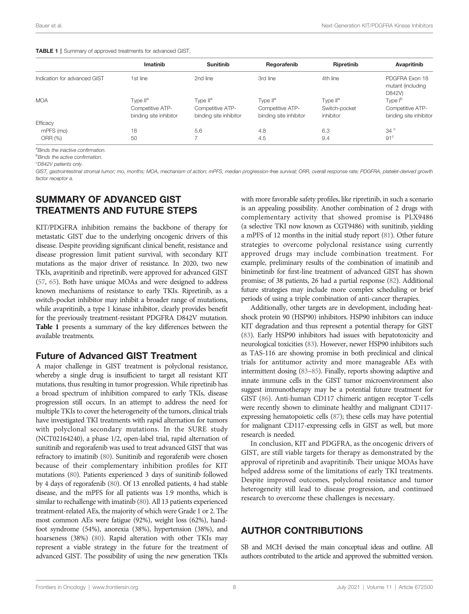|                              | Imatinib               | <b>Sunitinib</b>       | Regorafenib            | Ripretinib           | Avapritinib                                   |
|------------------------------|------------------------|------------------------|------------------------|----------------------|-----------------------------------------------|
| Indication for advanced GIST | 1st line               | 2nd line               | 3rd line               | 4th line             | PDGFRA Exon 18<br>mutant (including<br>D842V) |
| <b>MOA</b>                   | Type II <sup>a</sup>   | Type II <sup>a</sup>   | Type II <sup>a</sup>   | Type II <sup>a</sup> | Type I <sup>b</sup>                           |
|                              | Competitive ATP-       | Competitive ATP-       | Competitive ATP-       | Switch-pocket        | Competitive ATP-                              |
|                              | binding site inhibitor | binding site inhibitor | binding site inhibitor | inhibitor            | binding site inhibitor                        |
| Efficacy                     |                        |                        |                        |                      |                                               |
| mPFS (mo)                    | 18                     | 5.6                    | 4.8                    | 6.3                  | $34^\circ$                                    |
| ORR (%)                      | 50                     | $\overline{ }$         | 4.5                    | 9.4                  | 91 <sup>c</sup>                               |
|                              |                        |                        |                        |                      |                                               |

<sup>a</sup>Binds the inactive confirmation.

*bBinds the active confirmation.* 

c D842V patients only.

GIST, gastrointestinal stromal tumor; mo, months; MOA, mechanism of action; mPFS, median progression-free survival; ORR, overall response rate; PDGFRA, platelet-derived growth factor receptor a.

# SUMMARY OF ADVANCED GIST TREATMENTS AND FUTURE STEPS

KIT/PDGFRA inhibition remains the backbone of therapy for metastatic GIST due to the underlying oncogenic drivers of this disease. Despite providing significant clinical benefit, resistance and disease progression limit patient survival, with secondary KIT mutations as the major driver of resistance. In 2020, two new TKIs, avapritinib and ripretinib, were approved for advanced GIST [\(57](#page-9-0), [65](#page-9-0)). Both have unique MOAs and were designed to address known mechanisms of resistance to early TKIs. Ripretinib, as a switch-pocket inhibitor may inhibit a broader range of mutations, while avapritinib, a type 1 kinase inhibitor, clearly provides benefit for the previously treatment-resistant PDGFRA D842V mutation. Table 1 presents a summary of the key differences between the available treatments.

## Future of Advanced GIST Treatment

A major challenge in GIST treatment is polyclonal resistance, whereby a single drug is insufficient to target all resistant KIT mutations, thus resulting in tumor progression. While ripretinib has a broad spectrum of inhibition compared to early TKIs, disease progression still occurs. In an attempt to address the need for multiple TKIs to cover the heterogeneity of the tumors, clinical trials have investigated TKI treatments with rapid alternation for tumors with polyclonal secondary mutations. In the SURE study (NCT02164240), a phase 1/2, open-label trial, rapid alternation of sunitinib and regorafenib was used to treat advanced GIST that was refractory to imatinib [\(80](#page-10-0)). Sunitinib and regorafenib were chosen because of their complementary inhibition profiles for KIT mutations ([80](#page-10-0)). Patients experienced 3 days of sunitinib followed by 4 days of regorafenib ([80](#page-10-0)). Of 13 enrolled patients, 4 had stable disease, and the mPFS for all patients was 1.9 months, which is similar to rechallenge with imatinib [\(80\)](#page-10-0). All 13 patients experienced treatment-related AEs, the majority of which were Grade 1 or 2. The most common AEs were fatigue (92%), weight loss (62%), handfoot syndrome (54%), anorexia (38%), hypertension (38%), and hoarseness (38%) ([80\)](#page-10-0). Rapid alteration with other TKIs may represent a viable strategy in the future for the treatment of advanced GIST. The possibility of using the new generation TKIs

with more favorable safety profiles, like ripretinib, in such a scenario is an appealing possibility. Another combination of 2 drugs with complementary activity that showed promise is PLX9486 (a selective TKI now known as CGT9486) with sunitinib, yielding a mPFS of 12 months in the initial study report [\(81](#page-10-0)). Other future strategies to overcome polyclonal resistance using currently approved drugs may include combination treatment. For example, preliminary results of the combination of imatinib and binimetinib for first-line treatment of advanced GIST has shown promise; of 38 patients, 26 had a partial response [\(82](#page-10-0)). Additional future strategies may include more complex scheduling or brief periods of using a triple combination of anti-cancer therapies.

Additionally, other targets are in development, including heatshock protein 90 (HSP90) inhibitors. HSP90 inhibitors can induce KIT degradation and thus represent a potential therapy for GIST [\(83\)](#page-10-0). Early HSP90 inhibitors had issues with hepatotoxicity and neurological toxicities [\(83](#page-10-0)). However, newer HSP90 inhibitors such as TAS-116 are showing promise in both preclinical and clinical trials for antitumor activity and more manageable AEs with intermittent dosing [\(83](#page-10-0)–[85](#page-10-0)). Finally, reports showing adaptive and innate immune cells in the GIST tumor microenvironment also suggest immunotherapy may be a potential future treatment for GIST [\(86\)](#page-10-0). Anti-human CD117 chimeric antigen receptor T-cells were recently shown to eliminate healthy and malignant CD117 expressing hematopoietic cells ([87](#page-10-0)); these cells may have potential for malignant CD117-expressing cells in GIST as well, but more research is needed.

In conclusion, KIT and PDGFRA, as the oncogenic drivers of GIST, are still viable targets for therapy as demonstrated by the approval of ripretinib and avapritinib. Their unique MOAs have helped address some of the limitations of early TKI treatments. Despite improved outcomes, polyclonal resistance and tumor heterogeneity still lead to disease progression, and continued research to overcome these challenges is necessary.

# AUTHOR CONTRIBUTIONS

SB and MCH devised the main conceptual ideas and outline. All authors contributed to the article and approved the submitted version.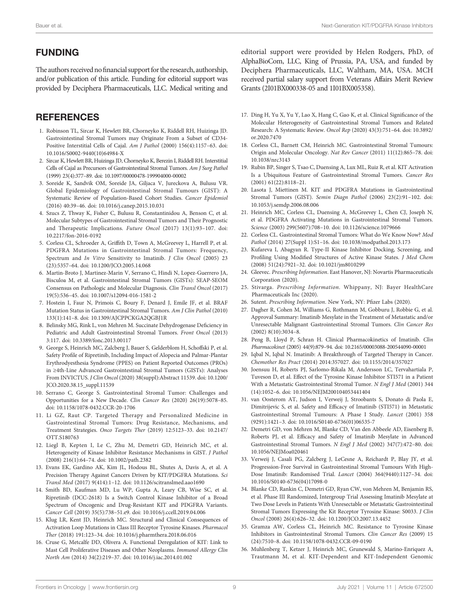# <span id="page-8-0"></span>FUNDING

The authors received no financial support for the research, authorship, and/or publication of this article. Funding for editorial support was provided by Deciphera Pharmaceuticals, LLC. Medical writing and

# **REFERENCES**

- 1. Robinson TL, Sircar K, Hewlett BR, Chorneyko K, Riddell RH, Huizinga JD. Gastrointestinal Stromal Tumors may Originate From a Subset of CD34- Positive Interstitial Cells of Cajal. Am J Pathol (2000) 156(4):1157–63. doi: [10.1016/S0002-9440\(10\)64984-X](https://doi.org/10.1016/S0002-9440(10)64984-X)
- 2. Sircar K, Hewlett BR, Huizinga JD, Chorneyko K, Berezin I, Riddell RH. Interstitial Cells of Cajal as Precursors of Gastrointestinal Stromal Tumors. Am J Surg Pathol (1999) 23(4):377–89. doi: [10.1097/00000478-199904000-00002](https://doi.org/10.1097/00000478-199904000-00002)
- 3. Soreide K, Sandvik OM, Soreide JA, Giljaca V, Jureckova A, Bulusu VR. Global Epidemiology of Gastrointestinal Stromal Tumours (GIST): A Systematic Review of Population-Based Cohort Studies. Cancer Epidemiol (2016) 40:39–46. doi: [10.1016/j.canep.2015.10.031](https://doi.org/10.1016/j.canep.2015.10.031)
- 4. Szucs Z, Thway K, Fisher C, Bulusu R, Constantinidou A, Benson C, et al. Molecular Subtypes of Gastrointestinal Stromal Tumors and Their Prognostic and Therapeutic Implications. Future Oncol (2017) 13(1):93–107. doi: [10.2217/fon-2016-0192](https://doi.org/10.2217/fon-2016-0192)
- 5. Corless CL, Schroeder A, Griffith D, Town A, McGreevey L, Harrell P, et al. PDGFRA Mutations in Gastrointestinal Stromal Tumors: Frequency, Spectrum and In Vitro Sensitivity to Imatinib. J Clin Oncol (2005) 23 (23):5357–64. doi: [10.1200/JCO.2005.14.068](https://doi.org/10.1200/JCO.2005.14.068)
- 6. Martin-Broto J, Martinez-Marin V, Serrano C, Hindi N, Lopez-Guerrero JA, Bisculoa M, et al. Gastrointestinal Stromal Tumors (GISTs): SEAP-SEOM Consensus on Pathologic and Molecular Diagnosis. Clin Transl Oncol (2017) 19(5):536–45. doi: [10.1007/s12094-016-1581-2](https://doi.org/10.1007/s12094-016-1581-2)
- 7. Hostein I, Faur N, Primois C, Boury F, Denard J, Emile JF, et al. BRAF Mutation Status in Gastrointestinal Stromal Tumors. Am J Clin Pathol (2010) 133(1):141–8. doi: [10.1309/AJCPPCKGA2QGBJ1R](https://doi.org/10.1309/AJCPPCKGA2QGBJ1R)
- 8. Belinsky MG, Rink L, von Mehren M. Succinate Dehydrogenase Deficiency in Pediatric and Adult Gastrointestinal Stromal Tumors. Front Oncol (2013) 3:117. doi: [10.3389/fonc.2013.00117](https://doi.org/10.3389/fonc.2013.00117)
- 9. George S, Heinrich MC, Zalcberg J, Bauer S, Gelderblom H, Schoffski P, et al. Safety Profile of Ripretinib, Including Impact of Alopecia and Palmar-Plantar Erythrodyesthesia Syndrome (PPES) on Patient Reported Outcomes (PROs) in ≥4th-Line Advanced Gastrointestinal Stromal Tumors (GISTs): Analyses From INVICTUS. J Clin Oncol (2020) 38(suppl):Abstract 11539. doi: [10.1200/](https://doi.org/10.1200/JCO.2020.38.15_suppl.11539) [JCO.2020.38.15\\_suppl.11539](https://doi.org/10.1200/JCO.2020.38.15_suppl.11539)
- 10. Serrano C, George S. Gastrointestinal Stromal Tumor: Challenges and Opportunities for a New Decade. Clin Cancer Res (2020) 26(19):5078–85. doi: [10.1158/1078-0432.CCR-20-1706](https://doi.org/10.1158/1078-0432.CCR-20-1706)
- 11. Li GZ, Raut CP. Targeted Therapy and Personalized Medicine in Gastrointestinal Stromal Tumors: Drug Resistance, Mechanisms, and Treatment Strategies. Onco Targets Ther (2019) 12:5123–33. doi: [10.2147/](https://doi.org/10.2147/OTT.S180763) [OTT.S180763](https://doi.org/10.2147/OTT.S180763)
- 12. Liegl B, Kepten I, Le C, Zhu M, Demetri GD, Heinrich MC, et al. Heterogeneity of Kinase Inhibitor Resistance Mechanisms in GIST. J Pathol (2008) 216(1):64–74. doi: [10.1002/path.2382](https://doi.org/10.1002/path.2382)
- 13. Evans EK, Gardino AK, Kim JL, Hodous BL, Shutes A, Davis A, et al. A Precision Therapy Against Cancers Driven by KIT/PDGFRA Mutations. Sci Transl Med (2017) 9(414):1–12. doi: [10.1126/scitranslmed.aao1690](https://doi.org/10.1126/scitranslmed.aao1690)
- 14. Smith BD, Kaufman MD, Lu WP, Gupta A, Leary CB, Wise SC, et al. Ripretinib (DCC-2618) Is a Switch Control Kinase Inhibitor of a Broad Spectrum of Oncogenic and Drug-Resistant KIT and PDGFRA Variants. Cancer Cell (2019) 35(5):738–51.e9. doi: [10.1016/j.ccell.2019.04.006](https://doi.org/10.1016/j.ccell.2019.04.006)
- 15. Klug LR, Kent JD, Heinrich MC. Structural and Clinical Consequences of Activation Loop Mutations in Class III Receptor Tyrosine Kinases. Pharmacol Ther (2018) 191:123–34. doi: [10.1016/j.pharmthera.2018.06.016](https://doi.org/10.1016/j.pharmthera.2018.06.016)
- 16. Cruse G, Metcalfe DD, Olivera A. Functional Deregulation of KIT: Link to Mast Cell Proliferative Diseases and Other Neoplasms. Immunol Allergy Clin North Am (2014) 34(2):219–37. doi: [10.1016/j.iac.2014.01.002](https://doi.org/10.1016/j.iac.2014.01.002)

editorial support were provided by Helen Rodgers, PhD, of AlphaBioCom, LLC, King of Prussia, PA, USA, and funded by Deciphera Pharmaceuticals, LLC, Waltham, MA, USA. MCH received partial salary support from Veterans Affairs Merit Review Grants (2I01BX000338-05 and 1I01BX005358).

- 17. Ding H, Yu X, Yu Y, Lao X, Hang C, Gao K, et al. Clinical Significance of the Molecular Heterogeneity of Gastrointestinal Stromal Tumors and Related Research: A Systematic Review. Oncol Rep (2020) 43(3):751–64. doi: [10.3892/](https://doi.org/10.3892/or.2020.7470) [or.2020.7470](https://doi.org/10.3892/or.2020.7470)
- 18. Corless CL, Barnett CM, Heinrich MC. Gastrointestinal Stromal Tumours: Origin and Molecular Oncology. Nat Rev Cancer (2011) 11(12):865–78. doi: [10.1038/nrc3143](https://doi.org/10.1038/nrc3143)
- 19. Rubin BP, Singer S, Tsao C, Duensing A, Lux ML, Ruiz R, et al. KIT Activation Is a Ubiquitous Feature of Gastrointestinal Stromal Tumors. Cancer Res (2001) 61(22):8118–21.
- 20. Lasota J, Miettinen M. KIT and PDGFRA Mutations in Gastrointestinal Stromal Tumors (GIST). Semin Diagn Pathol (2006) 23(2):91–102. doi: [10.1053/j.semdp.2006.08.006](https://doi.org/10.1053/j.semdp.2006.08.006)
- 21. Heinrich MC, Corless CL, Duensing A, McGreevey L, Chen CJ, Joseph N, et al. PDGFRA Activating Mutations in Gastrointestinal Stromal Tumors. Science (2003) 299(5607):708–10. doi: [10.1126/science.1079666](https://doi.org/10.1126/science.1079666)
- 22. Corless CL. Gastrointestinal Stromal Tumors: What do We Know Now? Mod Pathol (2014) 27(Suppl 1):S1–16. doi: [10.1038/modpathol.2013.173](https://doi.org/10.1038/modpathol.2013.173)
- 23. Kufareva I, Abagyan R. Type-II Kinase Inhibitor Docking, Screening, and Profiling Using Modified Structures of Active Kinase States. J Med Chem (2008) 51(24):7921–32. doi: [10.1021/jm8010299](https://doi.org/10.1021/jm8010299)
- 24. Gleevec. Prescribing Information. East Hanover, NJ: Novartis Pharmaceuticals Corporation (2020).
- 25. Stivarga. Prescribing Information. Whippany, NJ: Bayer HealthCare Pharmaceuticals Inc (2020).
- 26. Sutent. Prescribing Information. New York, NY: Pfizer Labs (2020).
- 27. Dagher R, Cohen M, Williams G, Rothmann M, Gobburu J, Robbie G, et al. Approval Summary: Imatinib Mesylate in the Treatment of Metastatic and/or Unresectable Malignant Gastrointestinal Stromal Tumors. Clin Cancer Res  $(2002)$  8(10):3034-8
- 28. Peng B, Lloyd P, Schran H. Clinical Pharmacokinetics of Imatinib. Clin Pharmacokinet (2005) 44(9):879–94. doi: [10.2165/00003088-200544090-00001](https://doi.org/10.2165/00003088-200544090-00001)
- 29. Iqbal N, Iqbal N. Imatinib: A Breakthrough of Targeted Therapy in Cancer. Chemother Res Pract (2014) 2014:357027. doi: [10.1155/2014/357027](https://doi.org/10.1155/2014/357027)
- 30. Joensuu H, Roberts PJ, Sarlomo-Rikala M, Andersson LC, Tervahartiala P, Tuveson D, et al. Effect of the Tyrosine Kinase Inhibitor STI571 in a Patient With a Metastatic Gastrointestinal Stromal Tumor. N Engl J Med (2001) 344 (14):1052–6. doi: [10.1056/NEJM200104053441404](https://doi.org/10.1056/NEJM200104053441404)
- 31. van Oosterom AT, Judson I, Verweij J, Stroobants S, Donato di Paola E, Dimitrijevic S, et al. Safety and Efficacy of Imatinib (STI571) in Metastatic Gastrointestinal Stromal Tumours: A Phase I Study. Lancet (2001) 358 (9291):1421–3. doi: [10.1016/S0140-6736\(01\)06535-7](https://doi.org/10.1016/S0140-6736(01)06535-7)
- 32. Demetri GD, von Mehren M, Blanke CD, Van den Abbeele AD, Eisenberg B, Roberts PJ, et al. Efficacy and Safety of Imatinib Mesylate in Advanced Gastrointestinal Stromal Tumors. N Engl J Med (2002) 347(7):472–80. doi: [10.1056/NEJMoa020461](https://doi.org/10.1056/NEJMoa020461)
- 33. Verweij J, Casali PG, Zalcberg J, LeCesne A, Reichardt P, Blay JY, et al. Progression-Free Survival in Gastrointestinal Stromal Tumours With High-Dose Imatinib: Randomised Trial. Lancet (2004) 364(9440):1127–34. doi: [10.1016/S0140-6736\(04\)17098-0](https://doi.org/10.1016/S0140-6736(04)17098-0)
- 34. Blanke CD, Rankin C, Demetri GD, Ryan CW, von Mehren M, Benjamin RS, et al. Phase III Randomized, Intergroup Trial Assessing Imatinib Mesylate at Two Dose Levels in Patients With Unresectable or Metastatic Gastrointestinal Stromal Tumors Expressing the Kit Receptor Tyrosine Kinase: S0033. J Clin Oncol (2008) 26(4):626–32. doi: [10.1200/JCO.2007.13.4452](https://doi.org/10.1200/JCO.2007.13.4452)
- 35. Gramza AW, Corless CL, Heinrich MC. Resistance to Tyrosine Kinase Inhibitors in Gastrointestinal Stromal Tumors. Clin Cancer Res (2009) 15 (24):7510–8. doi: [10.1158/1078-0432.CCR-09-0190](https://doi.org/10.1158/1078-0432.CCR-09-0190)
- 36. Muhlenberg T, Ketzer J, Heinrich MC, Grunewald S, Marino-Enriquez A, Trautmann M, et al. KIT-Dependent and KIT-Independent Genomic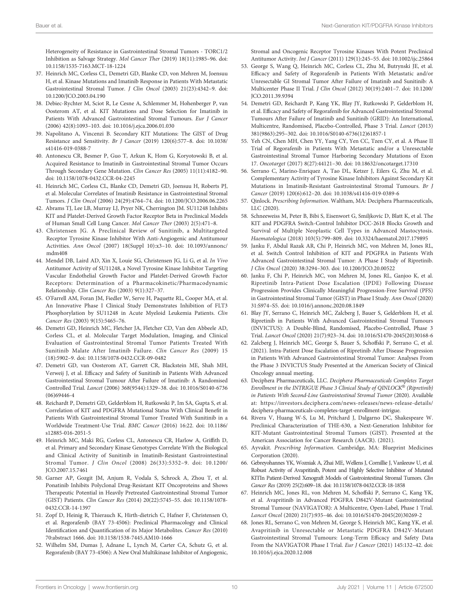<span id="page-9-0"></span>Heterogeneity of Resistance in Gastrointestinal Stromal Tumors - TORC1/2 Inhibition as Salvage Strategy. Mol Cancer Ther (2019) 18(11):1985–96. doi: [10.1158/1535-7163.MCT-18-1224](https://doi.org/10.1158/1535-7163.MCT-18-1224)

- 37. Heinrich MC, Corless CL, Demetri GD, Blanke CD, von Mehren M, Joensuu H, et al. Kinase Mutations and Imatinib Response in Patients With Metastatic Gastrointestinal Stromal Tumor. J Clin Oncol (2003) 21(23):4342–9. doi: [10.1200/JCO.2003.04.190](https://doi.org/10.1200/JCO.2003.04.190)
- 38. Debiec-Rychter M, Sciot R, Le Cesne A, Schlemmer M, Hohenberger P, van Oosterom AT, et al. KIT Mutations and Dose Selection for Imatinib in Patients With Advanced Gastrointestinal Stromal Tumours. Eur J Cancer (2006) 42(8):1093–103. doi: [10.1016/j.ejca.2006.01.030](https://doi.org/10.1016/j.ejca.2006.01.030)
- 39. Napolitano A, Vincenzi B. Secondary KIT Mutations: The GIST of Drug Resistance and Sensitivity. Br J Cancer (2019) 120(6):577–8. doi: [10.1038/](https://doi.org/10.1038/s41416-019-0388-7) [s41416-019-0388-7](https://doi.org/10.1038/s41416-019-0388-7)
- 40. Antonescu CR, Besmer P, Guo T, Arkun K, Hom G, Koryotowski B, et al. Acquired Resistance to Imatinib in Gastrointestinal Stromal Tumor Occurs Through Secondary Gene Mutation. Clin Cancer Res (2005) 11(11):4182–90. doi: [10.1158/1078-0432.CCR-04-2245](https://doi.org/10.1158/1078-0432.CCR-04-2245)
- 41. Heinrich MC, Corless CL, Blanke CD, Demetri GD, Joensuu H, Roberts PJ, et al. Molecular Correlates of Imatinib Resistance in Gastrointestinal Stromal Tumors. J Clin Oncol (2006) 24(29):4764–74. doi: [10.1200/JCO.2006.06.2265](https://doi.org/10.1200/JCO.2006.06.2265)
- 42. Abrams TJ, Lee LB, Murray LJ, Pryer NK, Cherrington JM. SU11248 Inhibits KIT and Platelet-Derived Growth Factor Receptor Beta in Preclinical Models of Human Small Cell Lung Cancer. Mol Cancer Ther (2003) 2(5):471–8.
- 43. Christensen JG. A Preclinical Review of Sunitinib, a Multitargeted Receptor Tyrosine Kinase Inhibitor With Anti-Angiogenic and Antitumour Activities. Ann Oncol (2007) 18(Suppl 10):x3–10. doi: [10.1093/annonc/](https://doi.org/10.1093/annonc/mdm408) [mdm408](https://doi.org/10.1093/annonc/mdm408)
- 44. Mendel DB, Laird AD, Xin X, Louie SG, Christensen JG, Li G, et al. In Vivo Antitumor Activity of SU11248, a Novel Tyrosine Kinase Inhibitor Targeting Vascular Endothelial Growth Factor and Platelet-Derived Growth Factor Receptors: Determination of a Pharmacokinetic/Pharmacodynamic Relationship. Clin Cancer Res (2003) 9(1):327–37.
- 45. O'Farrell AM, Foran JM, Fiedler W, Serve H, Paquette RL, Cooper MA, et al. An Innovative Phase I Clinical Study Demonstrates Inhibition of FLT3 Phosphorylation by SU11248 in Acute Myeloid Leukemia Patients. Clin Cancer Res (2003) 9(15):5465–76.
- 46. Demetri GD, Heinrich MC, Fletcher JA, Fletcher CD, Van den Abbeele AD, Corless CL, et al. Molecular Target Modulation, Imaging, and Clinical Evaluation of Gastrointestinal Stromal Tumor Patients Treated With Sunitinib Malate After Imatinib Failure. Clin Cancer Res (2009) 15 (18):5902–9. doi: [10.1158/1078-0432.CCR-09-0482](https://doi.org/10.1158/1078-0432.CCR-09-0482)
- 47. Demetri GD, van Oosterom AT, Garrett CR, Blackstein ME, Shah MH, Verweij J, et al. Efficacy and Safety of Sunitinib in Patients With Advanced Gastrointestinal Stromal Tumour After Failure of Imatinib: A Randomised Controlled Trial. Lancet (2006) 368(9544):1329–38. doi: [10.1016/S0140-6736](https://doi.org/10.1016/S0140-6736(06)69446-4) [\(06\)69446-4](https://doi.org/10.1016/S0140-6736(06)69446-4)
- 48. Reichardt P, Demetri GD, Gelderblom H, Rutkowski P, Im SA, Gupta S, et al. Correlation of KIT and PDGFRA Mutational Status With Clinical Benefit in Patients With Gastrointestinal Stromal Tumor Treated With Sunitinib in a Worldwide Treatment-Use Trial. BMC Cancer (2016) 16:22. doi: [10.1186/](https://doi.org/10.1186/s12885-016-2051-5) [s12885-016-2051-5](https://doi.org/10.1186/s12885-016-2051-5)
- 49. Heinrich MC, Maki RG, Corless CL, Antonescu CR, Harlow A, Griffith D, et al. Primary and Secondary Kinase Genotypes Correlate With the Biological and Clinical Activity of Sunitinib in Imatinib-Resistant Gastrointestinal Stromal Tumor. J Clin Oncol (2008) 26(33):5352–9. doi: [10.1200/](https://doi.org/10.1200/JCO.2007.15.7461) [JCO.2007.15.7461](https://doi.org/10.1200/JCO.2007.15.7461)
- 50. Garner AP, Gozgit JM, Anjum R, Vodala S, Schrock A, Zhou T, et al. Ponatinib Inhibits Polyclonal Drug-Resistant KIT Oncoproteins and Shows Therapeutic Potential in Heavily Pretreated Gastrointestinal Stromal Tumor (GIST) Patients. Clin Cancer Res (2014) 20(22):5745–55. doi: [10.1158/1078-](https://doi.org/10.1158/1078-0432.CCR-14-1397) [0432.CCR-14-1397](https://doi.org/10.1158/1078-0432.CCR-14-1397)
- 51. Zopf D, Heinig R, Thierauch K, Hirth-dietrich C, Hafner F, Christensen O, et al. Regorafenib (BAY 73-4506): Preclinical Pharmacology and Clinical Identification and Quantification of its Major Metabolites. Cancer Res (2010) 70:abstract 1666. doi: [10.1158/1538-7445.AM10-1666](https://doi.org/10.1158/1538-7445.AM10-1666)
- 52. Wilhelm SM, Dumas J, Adnane L, Lynch M, Carter CA, Schutz G, et al. Regorafenib (BAY 73-4506): A New Oral Multikinase Inhibitor of Angiogenic,

Stromal and Oncogenic Receptor Tyrosine Kinases With Potent Preclinical Antitumor Activity. Int J Cancer (2011) 129(1):245–55. doi: [10.1002/ijc.25864](https://doi.org/10.1002/ijc.25864)

- 53. George S, Wang Q, Heinrich MC, Corless CL, Zhu M, Butrynski JE, et al. Efficacy and Safety of Regorafenib in Patients With Metastatic and/or Unresectable GI Stromal Tumor After Failure of Imatinib and Sunitinib: A Multicenter Phase II Trial. J Clin Oncol (2012) 30(19):2401–7. doi: [10.1200/](https://doi.org/10.1200/JCO.2011.39.9394) [JCO.2011.39.9394](https://doi.org/10.1200/JCO.2011.39.9394)
- 54. Demetri GD, Reichardt P, Kang YK, Blay JY, Rutkowski P, Gelderblom H, et al. Efficacy and Safety of Regorafenib for Advanced Gastrointestinal Stromal Tumours After Failure of Imatinib and Sunitinib (GRID): An International, Multicentre, Randomised, Placebo-Controlled, Phase 3 Trial. Lancet (2013) 381(9863):295–302. doi: [10.1016/S0140-6736\(12\)61857-1](https://doi.org/10.1016/S0140-6736(12)61857-1)
- 55. Yeh CN, Chen MH, Chen YY, Yang CY, Yen CC, Tzen CY, et al. A Phase II Trial of Regorafenib in Patients With Metastatic and/or a Unresectable Gastrointestinal Stromal Tumor Harboring Secondary Mutations of Exon 17. Oncotarget (2017) 8(27):44121–30. doi: [10.18632/oncotarget.17310](https://doi.org/10.18632/oncotarget.17310)
- 56. Serrano C, Marino-Enriquez A, Tao DL, Ketzer J, Eilers G, Zhu M, et al. Complementary Activity of Tyrosine Kinase Inhibitors Against Secondary Kit Mutations in Imatinib-Resistant Gastrointestinal Stromal Tumours. Br J Cancer (2019) 120(6):612–20. doi: [10.1038/s41416-019-0389-6](https://doi.org/10.1038/s41416-019-0389-6)
- 57. Qinlock. Prescribing Information. Waltham, MA: Deciphera Pharmaceuticals, LLC (2020).
- 58. Schneeweiss M, Peter B, Bibi S, Eisenwort G, Smiljkovic D, Blatt K, et al. The KIT and PDGFRA Switch-Control Inhibitor DCC-2618 Blocks Growth and Survival of Multiple Neoplastic Cell Types in Advanced Mastocytosis. Haematologica (2018) 103(5):799–809. doi: [10.3324/haematol.2017.179895](https://doi.org/10.3324/haematol.2017.179895)
- 59. Janku F, Abdul Razak AR, Chi P, Heinrich MC, von Mehren M, Jones RL, et al. Switch Control Inhibition of KIT and PDGFRA in Patients With Advanced Gastrointestinal Stromal Tumor: A Phase I Study of Ripretinib. J Clin Oncol (2020) 38:3294–303. doi: [10.1200/JCO.20.00522](https://doi.org/10.1200/JCO.20.00522)
- 60. Janku F, Chi P, Heinrich MC, von Mehren M, Jones RL, Ganjoo K, et al. Ripretinib Intra-Patient Dose Escalation (IPDE) Following Disease Progression Provides Clinically Meaningful Progression-Free Survival (PFS) in Gastrointestinal Stromal Tumor (GIST) in Phase I Study. Ann Oncol (2020) 31:S974–S5. doi: [10.1016/j.annonc.2020.08.1849](https://doi.org/10.1016/j.annonc.2020.08.1849)
- 61. Blay JY, Serrano C, Heinrich MC, Zalcberg J, Bauer S, Gelderblom H, et al. Ripretinib in Patients With Advanced Gastrointestinal Stromal Tumours (INVICTUS): A Double-Blind, Randomised, Placebo-Controlled, Phase 3 Trial. Lancet Oncol (2020) 21(7):923–34. doi: [10.1016/S1470-2045\(20\)30168-6](https://doi.org/10.1016/S1470-2045(20)30168-6)
- 62. Zalcberg J, Heinrich MC, George S, Bauer S, Schoffski P, Serrano C, et al. (2021). Intra-Patient Dose Escalation of Ripretinib After Disease Progression in Patients With Advanced Gastrointestinal Stromal Tumor: Analyses From the Phase 3 INVICTUS Study Presented at the American Society of Clinical Oncology annual meeting.
- 63. Deciphera Pharmaceuticals, LLC. Deciphera Pharmaceuticals Completes Target Enrollment in the INTRIGUE Phase 3 Clinical Study of QINLOCK® (Ripretinib) in Patients With Second-Line Gastrointestinal Stromal Tumor (2020). Available at: [https://investors.deciphera.com/news-releases/news-release-details/](https://investors.deciphera.com/news-releases/news-release-details/deciphera-pharmaceuticals-completes-target-enrollment-intrigue) [deciphera-pharmaceuticals-completes-target-enrollment-intrigue](https://investors.deciphera.com/news-releases/news-release-details/deciphera-pharmaceuticals-completes-target-enrollment-intrigue).
- 64. Rivera V, Huang W-S, Lu M, Pritchard J, Dalgarno DC, Shakespeare W. Preclinical Characterization of THE-630, a Next-Generation Inhibitor for KIT-Mutant Gastrointestinal Stromal Tumors (GIST). Presented at the American Association for Cancer Research (AACR). (2021).
- 65. Ayvakit. Prescribing Information. Cambridge, MA: Blueprint Medicines Corporation (2020).
- 66. Gebreyohannes YK, Wozniak A, Zhai ME, Wellens J, Cornillie J, Vanleeuw U, et al. Robust Activity of Avapritinib, Potent and Highly Selective Inhibitor of Mutated KITIn Patient-Derived Xenograft Models of Gastrointestinal Stromal Tumors. Clin Cancer Res (2019) 25(2):609–18. doi: [10.1158/1078-0432.CCR-18-1858](https://doi.org/10.1158/1078-0432.CCR-18-1858)
- 67. Heinrich MC, Jones RL, von Mehren M, Schoffski P, Serrano C, Kang YK, et al. Avapritinib in Advanced PDGFRA D842V-Mutant Gastrointestinal Stromal Tumour (NAVIGATOR): A Multicentre, Open-Label, Phase 1 Trial. Lancet Oncol (2020) 21(7):935–46. doi: [10.1016/S1470-2045\(20\)30269-2](https://doi.org/10.1016/S1470-2045(20)30269-2)
- 68. Jones RL, Serrano C, von Mehren M, George S, Heinrich MC, Kang YK, et al. Avapritinib in Unresectable or Metastatic PDGFRA D842V-Mutant Gastrointestinal Stromal Tumours: Long-Term Efficacy and Safety Data From the NAVIGATOR Phase I Trial. Eur J Cancer (2021) 145:132–42. doi: [10.1016/j.ejca.2020.12.008](https://doi.org/10.1016/j.ejca.2020.12.008)